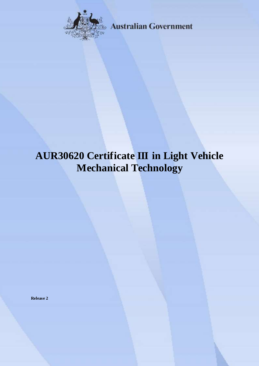

**Australian Government** 

# **AUR30620 Certificate III in Light Vehicle Mechanical Technology**

**Release 2**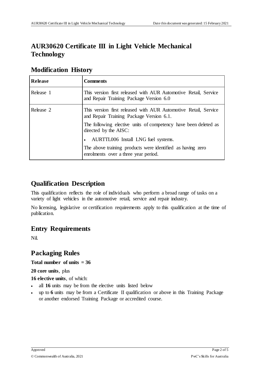## **AUR30620 Certificate III in Light Vehicle Mechanical Technology**

| <b>Release</b> | <b>Comments</b>                                                                                             |
|----------------|-------------------------------------------------------------------------------------------------------------|
| Release 1      | This version first released with AUR Automotive Retail, Service<br>and Repair Training Package Version 6.0  |
| Release 2      | This version first released with AUR Automotive Retail, Service<br>and Repair Training Package Version 6.1. |
|                | The following elective units of competency have been deleted as<br>directed by the AISC:                    |
|                | • AURTTL006 Install LNG fuel systems.                                                                       |
|                | The above training products were identified as having zero<br>enrolments over a three year period.          |

## **Modification History**

## **Qualification Description**

This qualification reflects the role of individuals who perform a broad range of tasks on a variety of light vehicles in the automotive retail, service and repair industry.

No licensing, legislative or certification requirements apply to this qualification at the time of publication.

## **Entry Requirements**

Nil.

## **Packaging Rules**

### **Total number of units = 36**

**20 core units**, plus

**16 elective units**, of which:

- all **16** units may be from the elective units listed below
- up to **6** units may be from a Certificate II qualification or above in this Training Package or another endorsed Training Package or accredited course.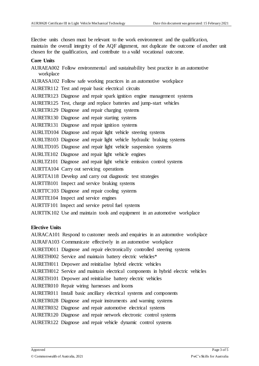Elective units chosen must be relevant to the work environment and the qualification, maintain the overall integrity of the AQF alignment, not duplicate the outcome of another unit chosen for the qualification, and contribute to a valid vocational outcome.

#### **Core Units**

AURAEA002 Follow environmental and sustainability best practice in an automotive workplace AURASA102 Follow safe working practices in an automotive workplace AURETR112 Test and repair basic electrical circuits AURETR123 Diagnose and repair spark ignition engine management systems AURETR125 Test, charge and replace batteries and jump-start vehicles AURETR129 Diagnose and repair charging systems AURETR130 Diagnose and repair starting systems AURETR131 Diagnose and repair ignition systems AURLTD104 Diagnose and repair light vehicle steering systems AURLTB103 Diagnose and repair light vehicle hydraulic braking systems AURLTD105 Diagnose and repair light vehicle suspension systems AURLTE102 Diagnose and repair light vehicle engines AURLTZ101 Diagnose and repair light vehicle emission control systems AURTTA104 Carry out servicing operations AURTTA118 Develop and carry out diagnostic test strategies AURTTB101 Inspect and service braking systems AURTTC103 Diagnose and repair cooling systems AURTTE104 Inspect and service engines AURTTF101 Inspect and service petrol fuel systems AURTTK102 Use and maintain tools and equipment in an automotive workplace

#### **Elective Units**

AURACA101 Respond to customer needs and enquiries in an automotive workplace AURAFA103 Communicate effectively in an automotive workplace AURETD011 Diagnose and repair electronically controlled steering systems AURETH002 Service and maintain battery electric vehicles\* AURETH011 Depower and reinitialise hybrid electric vehicles AURETH012 Service and maintain electrical components in hybrid electric vehicles AURETH101 Depower and reinitialise battery electric vehicles AURETR010 Repair wiring harnesses and looms AURETR011 Install basic ancillary electrical systems and components AURETR028 Diagnose and repair instruments and warning systems AURETR032 Diagnose and repair automotive electrical systems AURETR120 Diagnose and repair network electronic control systems AURETR122 Diagnose and repair vehicle dynamic control systems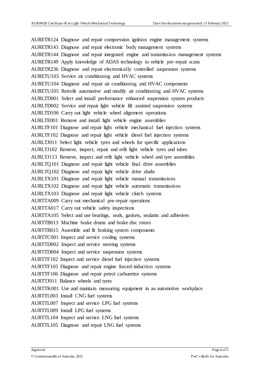AURETR124 Diagnose and repair compression ignition engine management systems AURETR143 Diagnose and repair electronic body management systems AURETR144 Diagnose and repair integrated engine and transmission management systems AURETR149 Apply knowledge of ADAS technology to vehicle pre-repair scans AURETR236 Diagnose and repair electronically controlled suspension systems AURETU103 Service air conditioning and HVAC systems AURETU104 Diagnose and repair air conditioning and HVAC components AURETU105 Retrofit automotive and modify air conditioning and HVAC systems AURLTD001 Select and install performance enhanced suspension system products AURLTD002 Service and repair light vehicle lift assisted suspension systems AURLTD106 Carry out light vehicle wheel alignment operations AURLTE001 Remove and install light vehicle engine assemblies AURLTF101 Diagnose and repair light vehicle mechanical fuel injection systems AURLTF102 Diagnose and repair light vehicle diesel fuel injection systems AURLTJ011 Select light vehicle tyres and wheels for specific applications AURLTJ102 Remove, inspect, repair and refit light vehicle tyres and tubes AURLTJ113 Remove, inspect and refit light vehicle wheel and tyre assemblies AURLTQ101 Diagnose and repair light vehicle final drive assemblies AURLTQ102 Diagnose and repair light vehicle drive shafts AURLTX101 Diagnose and repair light vehicle manual transmissions AURLTX102 Diagnose and repair light vehicle automatic transmissions AURLTX103 Diagnose and repair light vehicle clutch systems AURTTA009 Carry out mechanical pre-repair operations AURTTA017 Carry out vehicle safety inspections AURTTA105 Select and use bearings, seals, gaskets, sealants and adhesives AURTTB013 Machine brake drums and brake disc rotors AURTTB015 Assemble and fit braking system components AURTTC001 Inspect and service cooling systems AURTTD002 Inspect and service steering systems AURTTD004 Inspect and service suspension systems AURTTF102 Inspect and service diesel fuel injection systems AURTTF105 Diagnose and repair engine forced-induction systems AURTTF106 Diagnose and repair petrol carburettor systems AURTTJ011 Balance wheels and tyres AURTTK001 Use and maintain measuring equipment in an automotive workplace AURTTL003 Install CNG fuel systems AURTTL007 Inspect and service LPG fuel systems AURTTL009 Install LPG fuel systems AURTTL104 Inspect and service LNG fuel systems AURTTL105 Diagnose and repair LNG fuel systems